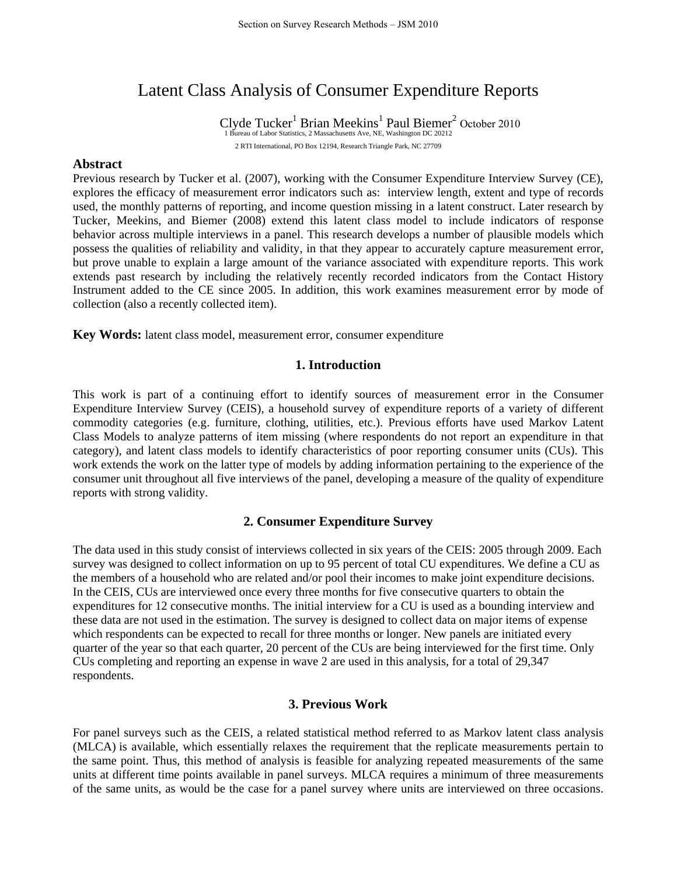# Latent Class Analysis of Consumer Expenditure Reports

Clyde Tucker<sup>1</sup> Brian Meekins<sup>1</sup> Paul Biemer<sup>2</sup> October 2010<br>1 Bureau of Labor Statistics, 2 Massachusetts Ave, NE, Washington DC 20212 2 RTI International, PO Box 12194, Research Triangle Park, NC 27709

### **Abstract**

Previous research by Tucker et al. (2007), working with the Consumer Expenditure Interview Survey (CE), explores the efficacy of measurement error indicators such as: interview length, extent and type of records used, the monthly patterns of reporting, and income question missing in a latent construct. Later research by Tucker, Meekins, and Biemer (2008) extend this latent class model to include indicators of response behavior across multiple interviews in a panel. This research develops a number of plausible models which possess the qualities of reliability and validity, in that they appear to accurately capture measurement error, but prove unable to explain a large amount of the variance associated with expenditure reports. This work extends past research by including the relatively recently recorded indicators from the Contact History Instrument added to the CE since 2005. In addition, this work examines measurement error by mode of collection (also a recently collected item).

**Key Words:** latent class model, measurement error, consumer expenditure

## **1. Introduction**

This work is part of a continuing effort to identify sources of measurement error in the Consumer Expenditure Interview Survey (CEIS), a household survey of expenditure reports of a variety of different commodity categories (e.g. furniture, clothing, utilities, etc.). Previous efforts have used Markov Latent Class Models to analyze patterns of item missing (where respondents do not report an expenditure in that category), and latent class models to identify characteristics of poor reporting consumer units (CUs). This work extends the work on the latter type of models by adding information pertaining to the experience of the consumer unit throughout all five interviews of the panel, developing a measure of the quality of expenditure reports with strong validity.

#### **2. Consumer Expenditure Survey**

The data used in this study consist of interviews collected in six years of the CEIS: 2005 through 2009. Each survey was designed to collect information on up to 95 percent of total CU expenditures. We define a CU as the members of a household who are related and/or pool their incomes to make joint expenditure decisions. In the CEIS, CUs are interviewed once every three months for five consecutive quarters to obtain the expenditures for 12 consecutive months. The initial interview for a CU is used as a bounding interview and these data are not used in the estimation. The survey is designed to collect data on major items of expense which respondents can be expected to recall for three months or longer. New panels are initiated every quarter of the year so that each quarter, 20 percent of the CUs are being interviewed for the first time. Only CUs completing and reporting an expense in wave 2 are used in this analysis, for a total of 29,347 respondents.

#### **3. Previous Work**

For panel surveys such as the CEIS, a related statistical method referred to as Markov latent class analysis (MLCA) is available, which essentially relaxes the requirement that the replicate measurements pertain to the same point. Thus, this method of analysis is feasible for analyzing repeated measurements of the same units at different time points available in panel surveys. MLCA requires a minimum of three measurements of the same units, as would be the case for a panel survey where units are interviewed on three occasions.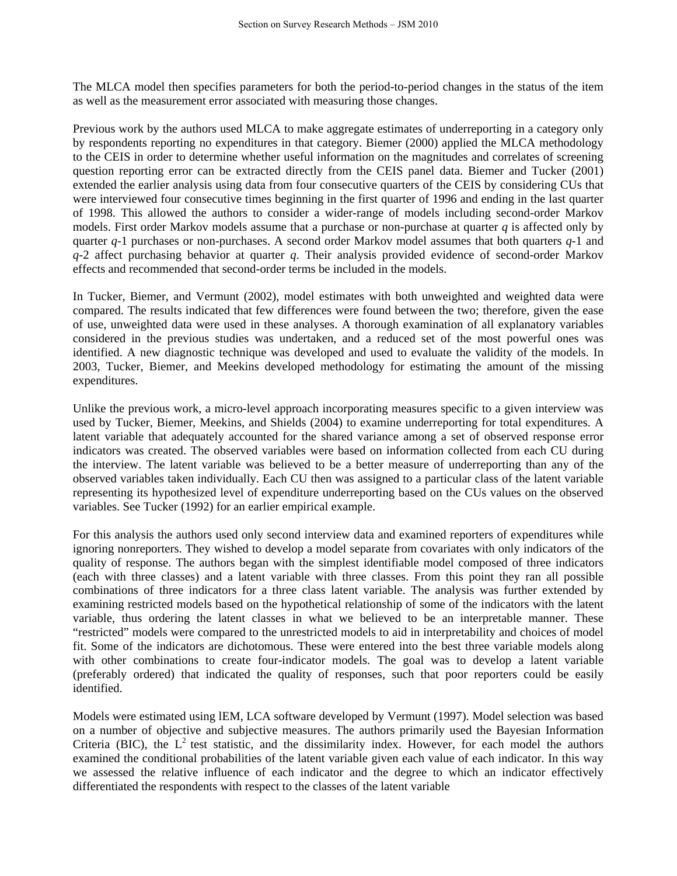The MLCA model then specifies parameters for both the period-to-period changes in the status of the item as well as the measurement error associated with measuring those changes.

Previous work by the authors used MLCA to make aggregate estimates of underreporting in a category only by respondents reporting no expenditures in that category. Biemer (2000) applied the MLCA methodology to the CEIS in order to determine whether useful information on the magnitudes and correlates of screening question reporting error can be extracted directly from the CEIS panel data. Biemer and Tucker (2001) extended the earlier analysis using data from four consecutive quarters of the CEIS by considering CUs that were interviewed four consecutive times beginning in the first quarter of 1996 and ending in the last quarter of 1998. This allowed the authors to consider a wider-range of models including second-order Markov models. First order Markov models assume that a purchase or non-purchase at quarter *q* is affected only by quarter *q*-1 purchases or non-purchases. A second order Markov model assumes that both quarters *q*-1 and *q*-2 affect purchasing behavior at quarter *q*. Their analysis provided evidence of second-order Markov effects and recommended that second-order terms be included in the models.

In Tucker, Biemer, and Vermunt (2002), model estimates with both unweighted and weighted data were compared. The results indicated that few differences were found between the two; therefore, given the ease of use, unweighted data were used in these analyses. A thorough examination of all explanatory variables considered in the previous studies was undertaken, and a reduced set of the most powerful ones was identified. A new diagnostic technique was developed and used to evaluate the validity of the models. In 2003, Tucker, Biemer, and Meekins developed methodology for estimating the amount of the missing expenditures.

Unlike the previous work, a micro-level approach incorporating measures specific to a given interview was used by Tucker, Biemer, Meekins, and Shields (2004) to examine underreporting for total expenditures. A latent variable that adequately accounted for the shared variance among a set of observed response error indicators was created. The observed variables were based on information collected from each CU during the interview. The latent variable was believed to be a better measure of underreporting than any of the observed variables taken individually. Each CU then was assigned to a particular class of the latent variable representing its hypothesized level of expenditure underreporting based on the CUs values on the observed variables. See Tucker (1992) for an earlier empirical example.

For this analysis the authors used only second interview data and examined reporters of expenditures while ignoring nonreporters. They wished to develop a model separate from covariates with only indicators of the quality of response. The authors began with the simplest identifiable model composed of three indicators (each with three classes) and a latent variable with three classes. From this point they ran all possible combinations of three indicators for a three class latent variable. The analysis was further extended by examining restricted models based on the hypothetical relationship of some of the indicators with the latent variable, thus ordering the latent classes in what we believed to be an interpretable manner. These "restricted" models were compared to the unrestricted models to aid in interpretability and choices of model fit. Some of the indicators are dichotomous. These were entered into the best three variable models along with other combinations to create four-indicator models. The goal was to develop a latent variable (preferably ordered) that indicated the quality of responses, such that poor reporters could be easily identified.

Models were estimated using lEM, LCA software developed by Vermunt (1997). Model selection was based on a number of objective and subjective measures. The authors primarily used the Bayesian Information Criteria (BIC), the  $L^2$  test statistic, and the dissimilarity index. However, for each model the authors examined the conditional probabilities of the latent variable given each value of each indicator. In this way we assessed the relative influence of each indicator and the degree to which an indicator effectively differentiated the respondents with respect to the classes of the latent variable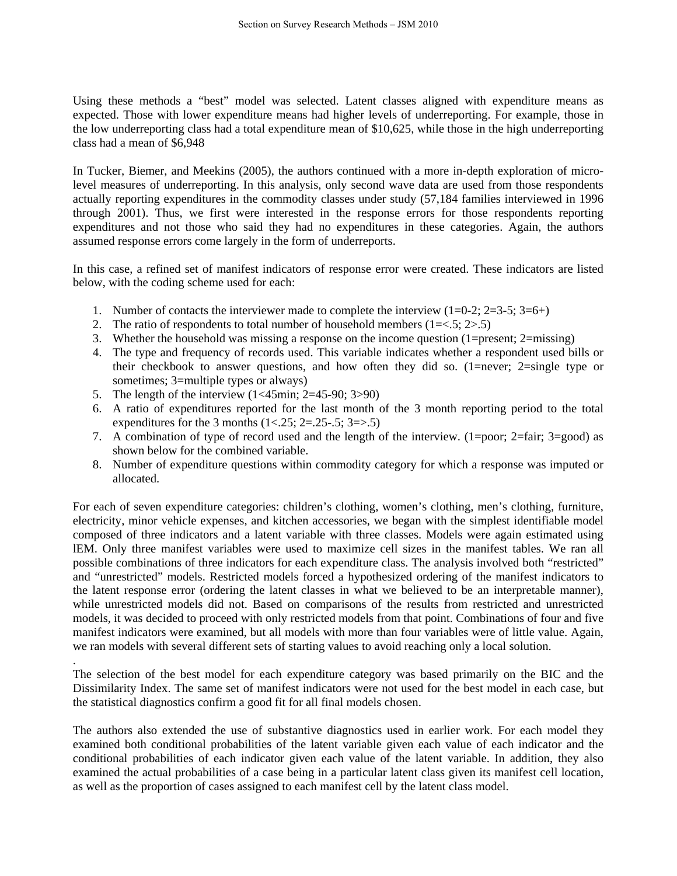Using these methods a "best" model was selected. Latent classes aligned with expenditure means as expected. Those with lower expenditure means had higher levels of underreporting. For example, those in the low underreporting class had a total expenditure mean of \$10,625, while those in the high underreporting class had a mean of \$6,948

In Tucker, Biemer, and Meekins (2005), the authors continued with a more in-depth exploration of microlevel measures of underreporting. In this analysis, only second wave data are used from those respondents actually reporting expenditures in the commodity classes under study (57,184 families interviewed in 1996 through 2001). Thus, we first were interested in the response errors for those respondents reporting expenditures and not those who said they had no expenditures in these categories. Again, the authors assumed response errors come largely in the form of underreports.

In this case, a refined set of manifest indicators of response error were created. These indicators are listed below, with the coding scheme used for each:

- 1. Number of contacts the interviewer made to complete the interview  $(1=0-2; 2=3-5; 3=6+)$
- 2. The ratio of respondents to total number of household members  $(1 = < 5; 2 > .5)$
- 3. Whether the household was missing a response on the income question (1=present; 2=missing)
- 4. The type and frequency of records used. This variable indicates whether a respondent used bills or their checkbook to answer questions, and how often they did so. (1=never; 2=single type or sometimes; 3=multiple types or always)
- 5. The length of the interview (1<45min; 2=45-90; 3>90)

.

- 6. A ratio of expenditures reported for the last month of the 3 month reporting period to the total expenditures for the 3 months  $(1 < .25; 2 = .25-.5; 3 = .5)$
- 7. A combination of type of record used and the length of the interview. (1=poor; 2=fair; 3=good) as shown below for the combined variable.
- 8. Number of expenditure questions within commodity category for which a response was imputed or allocated.

For each of seven expenditure categories: children's clothing, women's clothing, men's clothing, furniture, electricity, minor vehicle expenses, and kitchen accessories, we began with the simplest identifiable model composed of three indicators and a latent variable with three classes. Models were again estimated using lEM. Only three manifest variables were used to maximize cell sizes in the manifest tables. We ran all possible combinations of three indicators for each expenditure class. The analysis involved both "restricted" and "unrestricted" models. Restricted models forced a hypothesized ordering of the manifest indicators to the latent response error (ordering the latent classes in what we believed to be an interpretable manner), while unrestricted models did not. Based on comparisons of the results from restricted and unrestricted models, it was decided to proceed with only restricted models from that point. Combinations of four and five manifest indicators were examined, but all models with more than four variables were of little value. Again, we ran models with several different sets of starting values to avoid reaching only a local solution.

The selection of the best model for each expenditure category was based primarily on the BIC and the Dissimilarity Index. The same set of manifest indicators were not used for the best model in each case, but the statistical diagnostics confirm a good fit for all final models chosen.

The authors also extended the use of substantive diagnostics used in earlier work. For each model they examined both conditional probabilities of the latent variable given each value of each indicator and the conditional probabilities of each indicator given each value of the latent variable. In addition, they also examined the actual probabilities of a case being in a particular latent class given its manifest cell location, as well as the proportion of cases assigned to each manifest cell by the latent class model.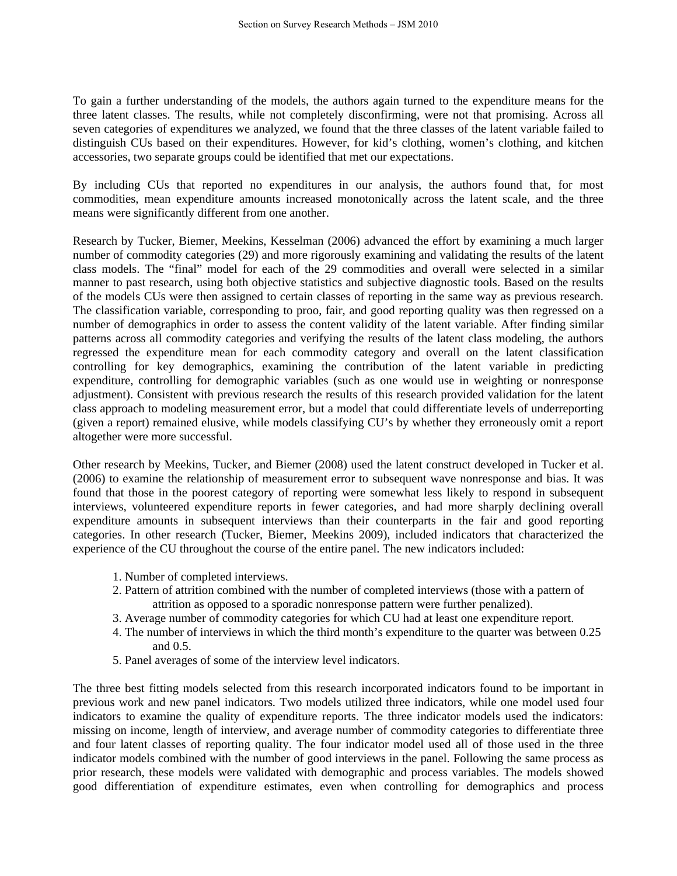To gain a further understanding of the models, the authors again turned to the expenditure means for the three latent classes. The results, while not completely disconfirming, were not that promising. Across all seven categories of expenditures we analyzed, we found that the three classes of the latent variable failed to distinguish CUs based on their expenditures. However, for kid's clothing, women's clothing, and kitchen accessories, two separate groups could be identified that met our expectations.

By including CUs that reported no expenditures in our analysis, the authors found that, for most commodities, mean expenditure amounts increased monotonically across the latent scale, and the three means were significantly different from one another.

Research by Tucker, Biemer, Meekins, Kesselman (2006) advanced the effort by examining a much larger number of commodity categories (29) and more rigorously examining and validating the results of the latent class models. The "final" model for each of the 29 commodities and overall were selected in a similar manner to past research, using both objective statistics and subjective diagnostic tools. Based on the results of the models CUs were then assigned to certain classes of reporting in the same way as previous research. The classification variable, corresponding to proo, fair, and good reporting quality was then regressed on a number of demographics in order to assess the content validity of the latent variable. After finding similar patterns across all commodity categories and verifying the results of the latent class modeling, the authors regressed the expenditure mean for each commodity category and overall on the latent classification controlling for key demographics, examining the contribution of the latent variable in predicting expenditure, controlling for demographic variables (such as one would use in weighting or nonresponse adjustment). Consistent with previous research the results of this research provided validation for the latent class approach to modeling measurement error, but a model that could differentiate levels of underreporting (given a report) remained elusive, while models classifying CU's by whether they erroneously omit a report altogether were more successful.

Other research by Meekins, Tucker, and Biemer (2008) used the latent construct developed in Tucker et al. (2006) to examine the relationship of measurement error to subsequent wave nonresponse and bias. It was found that those in the poorest category of reporting were somewhat less likely to respond in subsequent interviews, volunteered expenditure reports in fewer categories, and had more sharply declining overall expenditure amounts in subsequent interviews than their counterparts in the fair and good reporting categories. In other research (Tucker, Biemer, Meekins 2009), included indicators that characterized the experience of the CU throughout the course of the entire panel. The new indicators included:

- 1. Number of completed interviews.
- 2. Pattern of attrition combined with the number of completed interviews (those with a pattern of attrition as opposed to a sporadic nonresponse pattern were further penalized).
- 3. Average number of commodity categories for which CU had at least one expenditure report.
- 4. The number of interviews in which the third month's expenditure to the quarter was between 0.25 and 0.5.
- 5. Panel averages of some of the interview level indicators.

The three best fitting models selected from this research incorporated indicators found to be important in previous work and new panel indicators. Two models utilized three indicators, while one model used four indicators to examine the quality of expenditure reports. The three indicator models used the indicators: missing on income, length of interview, and average number of commodity categories to differentiate three and four latent classes of reporting quality. The four indicator model used all of those used in the three indicator models combined with the number of good interviews in the panel. Following the same process as prior research, these models were validated with demographic and process variables. The models showed good differentiation of expenditure estimates, even when controlling for demographics and process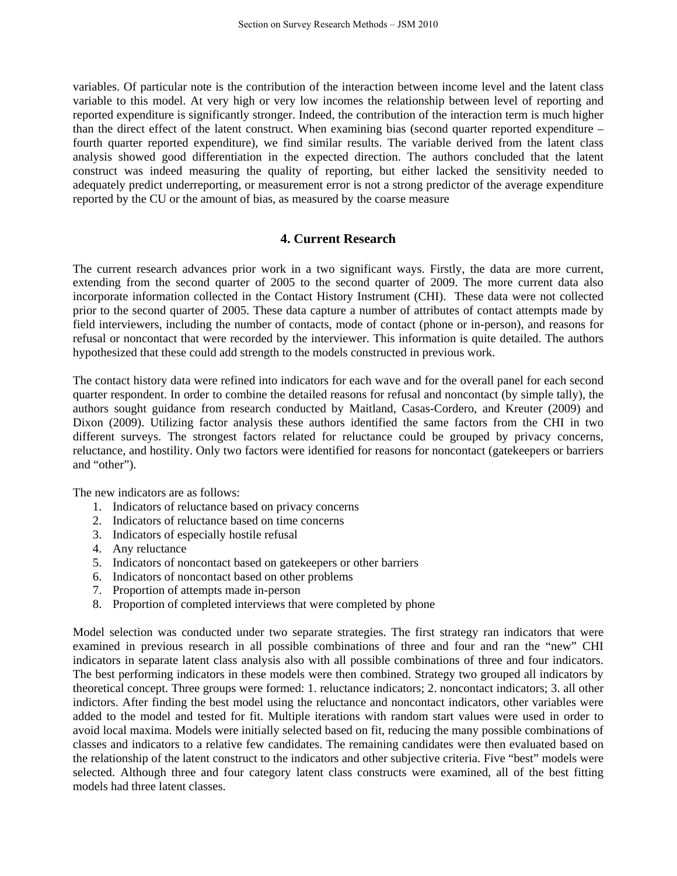variables. Of particular note is the contribution of the interaction between income level and the latent class variable to this model. At very high or very low incomes the relationship between level of reporting and reported expenditure is significantly stronger. Indeed, the contribution of the interaction term is much higher than the direct effect of the latent construct. When examining bias (second quarter reported expenditure – fourth quarter reported expenditure), we find similar results. The variable derived from the latent class analysis showed good differentiation in the expected direction. The authors concluded that the latent construct was indeed measuring the quality of reporting, but either lacked the sensitivity needed to adequately predict underreporting, or measurement error is not a strong predictor of the average expenditure reported by the CU or the amount of bias, as measured by the coarse measure

# **4. Current Research**

The current research advances prior work in a two significant ways. Firstly, the data are more current, extending from the second quarter of 2005 to the second quarter of 2009. The more current data also incorporate information collected in the Contact History Instrument (CHI). These data were not collected prior to the second quarter of 2005. These data capture a number of attributes of contact attempts made by field interviewers, including the number of contacts, mode of contact (phone or in-person), and reasons for refusal or noncontact that were recorded by the interviewer. This information is quite detailed. The authors hypothesized that these could add strength to the models constructed in previous work.

The contact history data were refined into indicators for each wave and for the overall panel for each second quarter respondent. In order to combine the detailed reasons for refusal and noncontact (by simple tally), the authors sought guidance from research conducted by Maitland, Casas-Cordero, and Kreuter (2009) and Dixon (2009). Utilizing factor analysis these authors identified the same factors from the CHI in two different surveys. The strongest factors related for reluctance could be grouped by privacy concerns, reluctance, and hostility. Only two factors were identified for reasons for noncontact (gatekeepers or barriers and "other").

The new indicators are as follows:

- 1. Indicators of reluctance based on privacy concerns
- 2. Indicators of reluctance based on time concerns
- 3. Indicators of especially hostile refusal
- 4. Any reluctance
- 5. Indicators of noncontact based on gatekeepers or other barriers
- 6. Indicators of noncontact based on other problems
- 7. Proportion of attempts made in-person
- 8. Proportion of completed interviews that were completed by phone

Model selection was conducted under two separate strategies. The first strategy ran indicators that were examined in previous research in all possible combinations of three and four and ran the "new" CHI indicators in separate latent class analysis also with all possible combinations of three and four indicators. The best performing indicators in these models were then combined. Strategy two grouped all indicators by theoretical concept. Three groups were formed: 1. reluctance indicators; 2. noncontact indicators; 3. all other indictors. After finding the best model using the reluctance and noncontact indicators, other variables were added to the model and tested for fit. Multiple iterations with random start values were used in order to avoid local maxima. Models were initially selected based on fit, reducing the many possible combinations of classes and indicators to a relative few candidates. The remaining candidates were then evaluated based on the relationship of the latent construct to the indicators and other subjective criteria. Five "best" models were selected. Although three and four category latent class constructs were examined, all of the best fitting models had three latent classes.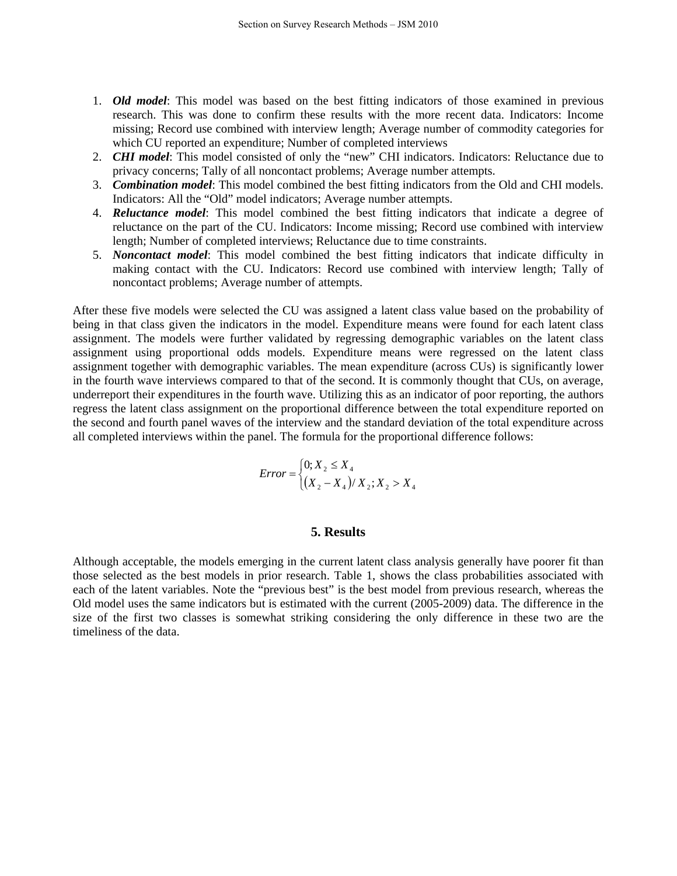- 1. *Old model*: This model was based on the best fitting indicators of those examined in previous research. This was done to confirm these results with the more recent data. Indicators: Income missing; Record use combined with interview length; Average number of commodity categories for which CU reported an expenditure; Number of completed interviews
- 2. *CHI model*: This model consisted of only the "new" CHI indicators. Indicators: Reluctance due to privacy concerns; Tally of all noncontact problems; Average number attempts.
- 3. *Combination model*: This model combined the best fitting indicators from the Old and CHI models. Indicators: All the "Old" model indicators; Average number attempts.
- 4. *Reluctance model*: This model combined the best fitting indicators that indicate a degree of reluctance on the part of the CU. Indicators: Income missing; Record use combined with interview length; Number of completed interviews; Reluctance due to time constraints.
- 5. *Noncontact model*: This model combined the best fitting indicators that indicate difficulty in making contact with the CU. Indicators: Record use combined with interview length; Tally of noncontact problems; Average number of attempts.

After these five models were selected the CU was assigned a latent class value based on the probability of being in that class given the indicators in the model. Expenditure means were found for each latent class assignment. The models were further validated by regressing demographic variables on the latent class assignment using proportional odds models. Expenditure means were regressed on the latent class assignment together with demographic variables. The mean expenditure (across CUs) is significantly lower in the fourth wave interviews compared to that of the second. It is commonly thought that CUs, on average, underreport their expenditures in the fourth wave. Utilizing this as an indicator of poor reporting, the authors regress the latent class assignment on the proportional difference between the total expenditure reported on the second and fourth panel waves of the interview and the standard deviation of the total expenditure across all completed interviews within the panel. The formula for the proportional difference follows:

$$
Error = \begin{cases} 0; X_2 \le X_4 \\ (X_2 - X_4) / X_2; X_2 > X_4 \end{cases}
$$

## **5. Results**

Although acceptable, the models emerging in the current latent class analysis generally have poorer fit than those selected as the best models in prior research. Table 1, shows the class probabilities associated with each of the latent variables. Note the "previous best" is the best model from previous research, whereas the Old model uses the same indicators but is estimated with the current (2005-2009) data. The difference in the size of the first two classes is somewhat striking considering the only difference in these two are the timeliness of the data.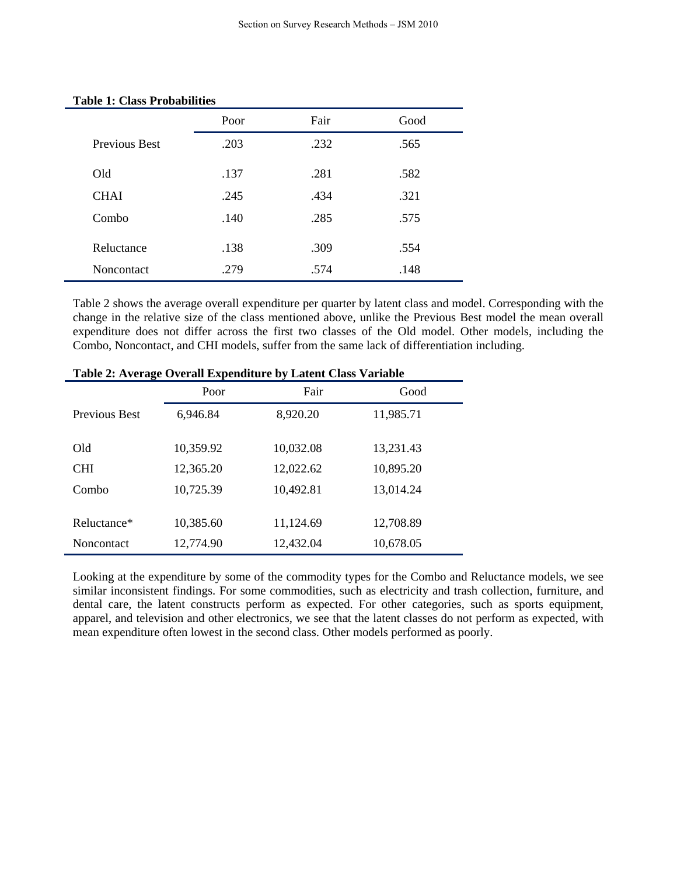|               | Poor | Fair | Good |
|---------------|------|------|------|
| Previous Best | .203 | .232 | .565 |
| Old           | .137 | .281 | .582 |
| <b>CHAI</b>   | .245 | .434 | .321 |
| Combo         | .140 | .285 | .575 |
| Reluctance    | .138 | .309 | .554 |
| Noncontact    | .279 | .574 | .148 |

#### **Table 1: Class Probabilities**

Table 2 shows the average overall expenditure per quarter by latent class and model. Corresponding with the change in the relative size of the class mentioned above, unlike the Previous Best model the mean overall expenditure does not differ across the first two classes of the Old model. Other models, including the Combo, Noncontact, and CHI models, suffer from the same lack of differentiation including.

| Tuble 2011 relate o relati Expenditure by Earent Clubb Turnable |           |           |           |  |  |
|-----------------------------------------------------------------|-----------|-----------|-----------|--|--|
|                                                                 | Poor      | Fair      | Good      |  |  |
| <b>Previous Best</b>                                            | 6,946.84  | 8,920.20  | 11,985.71 |  |  |
|                                                                 |           |           |           |  |  |
| Old                                                             | 10,359.92 | 10,032.08 | 13,231.43 |  |  |
| <b>CHI</b>                                                      | 12,365.20 | 12,022.62 | 10,895.20 |  |  |
| Combo                                                           | 10,725.39 | 10,492.81 | 13,014.24 |  |  |
|                                                                 |           |           |           |  |  |
| Reluctance*                                                     | 10,385.60 | 11,124.69 | 12,708.89 |  |  |
| Noncontact                                                      | 12,774.90 | 12,432.04 | 10,678.05 |  |  |

**Table 2: Average Overall Expenditure by Latent Class Variable** 

Looking at the expenditure by some of the commodity types for the Combo and Reluctance models, we see similar inconsistent findings. For some commodities, such as electricity and trash collection, furniture, and dental care, the latent constructs perform as expected. For other categories, such as sports equipment, apparel, and television and other electronics, we see that the latent classes do not perform as expected, with mean expenditure often lowest in the second class. Other models performed as poorly.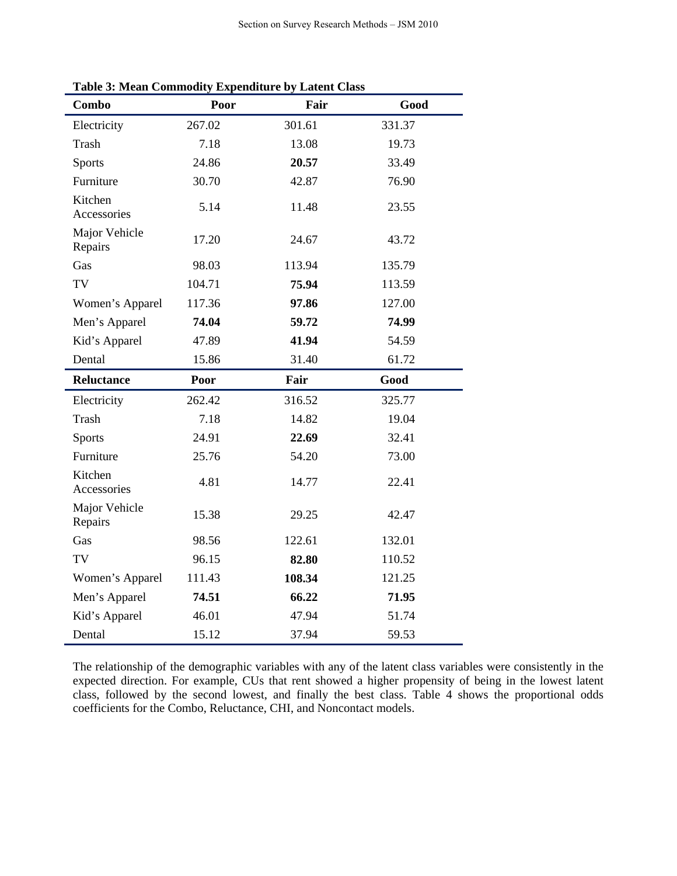| Combo                    | Poor   | Fair   | Good   |
|--------------------------|--------|--------|--------|
| Electricity              | 267.02 | 301.61 | 331.37 |
| <b>Trash</b>             | 7.18   | 13.08  | 19.73  |
| <b>Sports</b>            | 24.86  | 20.57  | 33.49  |
| Furniture                | 30.70  | 42.87  | 76.90  |
| Kitchen<br>Accessories   | 5.14   | 11.48  | 23.55  |
| Major Vehicle<br>Repairs | 17.20  | 24.67  | 43.72  |
| Gas                      | 98.03  | 113.94 | 135.79 |
| TV                       | 104.71 | 75.94  | 113.59 |
| Women's Apparel          | 117.36 | 97.86  | 127.00 |
| Men's Apparel            | 74.04  | 59.72  | 74.99  |
| Kid's Apparel            | 47.89  | 41.94  | 54.59  |
| Dental                   | 15.86  | 31.40  | 61.72  |
| Reluctance               | Poor   | Fair   | Good   |
| Electricity              | 262.42 | 316.52 | 325.77 |
| <b>Trash</b>             | 7.18   | 14.82  | 19.04  |
| <b>Sports</b>            | 24.91  | 22.69  | 32.41  |
| Furniture                | 25.76  | 54.20  | 73.00  |
| Kitchen<br>Accessories   | 4.81   | 14.77  | 22.41  |
| Major Vehicle<br>Repairs | 15.38  | 29.25  | 42.47  |
| Gas                      | 98.56  | 122.61 | 132.01 |
| TV                       | 96.15  | 82.80  | 110.52 |
| Women's Apparel          | 111.43 | 108.34 | 121.25 |
| Men's Apparel            | 74.51  | 66.22  | 71.95  |
| Kid's Apparel            | 46.01  | 47.94  | 51.74  |
| Dental                   | 15.12  | 37.94  | 59.53  |

**Table 3: Mean Commodity Expenditure by Latent Class**

The relationship of the demographic variables with any of the latent class variables were consistently in the expected direction. For example, CUs that rent showed a higher propensity of being in the lowest latent class, followed by the second lowest, and finally the best class. Table 4 shows the proportional odds coefficients for the Combo, Reluctance, CHI, and Noncontact models.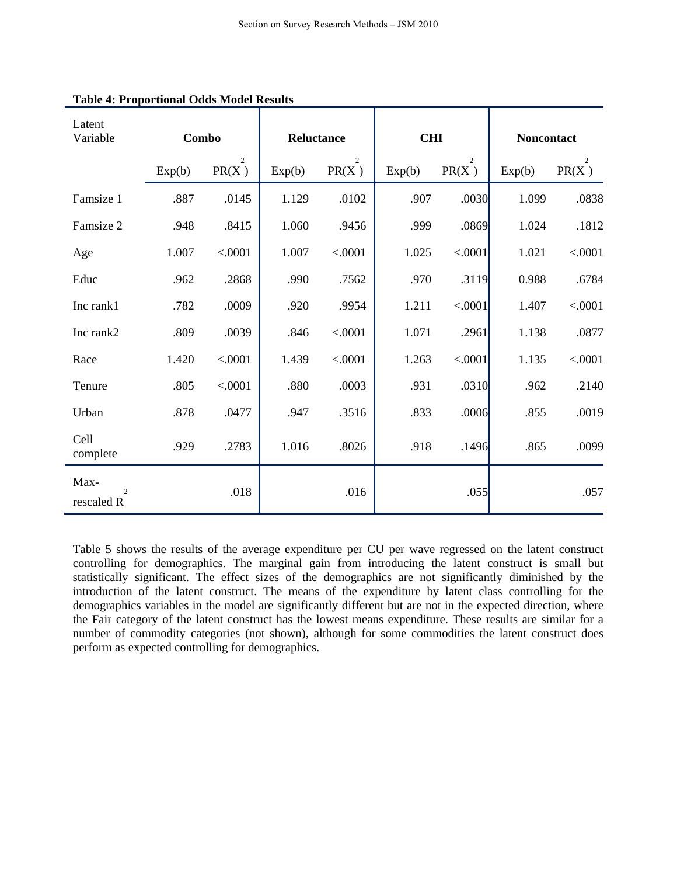| Latent<br>Variable                   |        | Combo                   | Reluctance |                         | <b>CHI</b> |                         | Noncontact |                         |
|--------------------------------------|--------|-------------------------|------------|-------------------------|------------|-------------------------|------------|-------------------------|
|                                      | Exp(b) | $\overline{c}$<br>PR(X) | Exp(b)     | $\overline{2}$<br>PR(X) | Exp(b)     | $\overline{2}$<br>PR(X) | Exp(b)     | $\overline{2}$<br>PR(X) |
| Famsize 1                            | .887   | .0145                   | 1.129      | .0102                   | .907       | .0030                   | 1.099      | .0838                   |
| Famsize 2                            | .948   | .8415                   | 1.060      | .9456                   | .999       | .0869                   | 1.024      | .1812                   |
| Age                                  | 1.007  | < .0001                 | 1.007      | < .0001                 | 1.025      | < .0001                 | 1.021      | < .0001                 |
| Educ                                 | .962   | .2868                   | .990       | .7562                   | .970       | .3119                   | 0.988      | .6784                   |
| Inc rank1                            | .782   | .0009                   | .920       | .9954                   | 1.211      | < .0001                 | 1.407      | < .0001                 |
| Inc rank2                            | .809   | .0039                   | .846       | < .0001                 | 1.071      | .2961                   | 1.138      | .0877                   |
| Race                                 | 1.420  | < .0001                 | 1.439      | < .0001                 | 1.263      | < .0001                 | 1.135      | < .0001                 |
| Tenure                               | .805   | < .0001                 | .880       | .0003                   | .931       | .0310                   | .962       | .2140                   |
| Urban                                | .878   | .0477                   | .947       | .3516                   | .833       | .0006                   | .855       | .0019                   |
| Cell<br>complete                     | .929   | .2783                   | 1.016      | .8026                   | .918       | .1496                   | .865       | .0099                   |
| Max-<br>$\overline{c}$<br>rescaled R |        | .018                    |            | .016                    |            | .055                    |            | .057                    |

# **Table 4: Proportional Odds Model Results**

Table 5 shows the results of the average expenditure per CU per wave regressed on the latent construct controlling for demographics. The marginal gain from introducing the latent construct is small but statistically significant. The effect sizes of the demographics are not significantly diminished by the introduction of the latent construct. The means of the expenditure by latent class controlling for the demographics variables in the model are significantly different but are not in the expected direction, where the Fair category of the latent construct has the lowest means expenditure. These results are similar for a number of commodity categories (not shown), although for some commodities the latent construct does perform as expected controlling for demographics.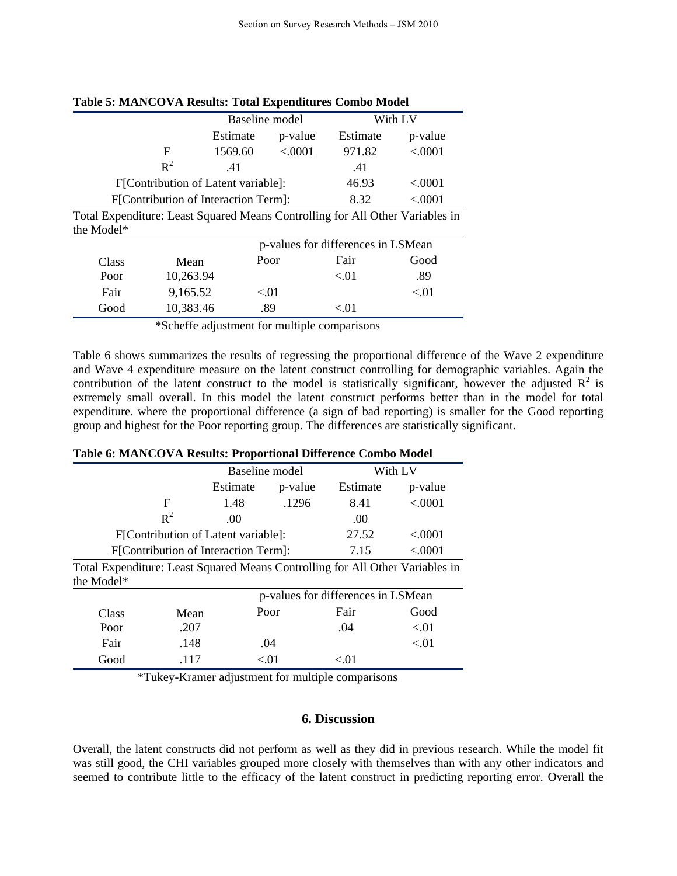|                                      |                                                                               | Baseline model |        | With LV |  |  |
|--------------------------------------|-------------------------------------------------------------------------------|----------------|--------|---------|--|--|
|                                      | Estimate                                                                      | p-value        |        | p-value |  |  |
| F                                    | 1569.60                                                                       | < 0.001        | 971.82 | < .0001 |  |  |
| $R^2$                                | .41                                                                           |                | .41    |         |  |  |
| F[Contribution of Latent variable]:  | 46.93                                                                         | < .0001        |        |         |  |  |
| F[Contribution of Interaction Term]: | 8.32                                                                          | < 0001         |        |         |  |  |
|                                      | Total Expanditure: Loost Cauguad Maana Controlling for All Other Variables in |                |        |         |  |  |

**Table 5: MANCOVA Results: Total Expenditures Combo Model**

|            | Total Expenditure: Least Squared Means Controlling for All Other Variables in |  |  |
|------------|-------------------------------------------------------------------------------|--|--|
| the Model* |                                                                               |  |  |

|       |           | p-values for differences in LSMean |      |      |  |
|-------|-----------|------------------------------------|------|------|--|
| Class | Mean      | Poor                               | Fair | Good |  |
| Poor  | 10,263.94 |                                    | < 01 | .89  |  |
| Fair  | 9,165.52  | < 0.01                             |      | < 01 |  |
| Good  | 10,383.46 | .89                                | <.01 |      |  |

\*Scheffe adjustment for multiple comparisons

Table 6 shows summarizes the results of regressing the proportional difference of the Wave 2 expenditure and Wave 4 expenditure measure on the latent construct controlling for demographic variables. Again the contribution of the latent construct to the model is statistically significant, however the adjusted  $R^2$  is extremely small overall. In this model the latent construct performs better than in the model for total expenditure. where the proportional difference (a sign of bad reporting) is smaller for the Good reporting group and highest for the Poor reporting group. The differences are statistically significant.

#### **Table 6: MANCOVA Results: Proportional Difference Combo Model**

|                                                                               |               | <b>Baseline</b> model              |              |           | With LV |
|-------------------------------------------------------------------------------|---------------|------------------------------------|--------------|-----------|---------|
|                                                                               |               | Estimate<br>p-value                |              | Estimate  | p-value |
|                                                                               | F             | 1.48                               | .1296        | 8.41      | < .0001 |
|                                                                               | $R^2$         | .00                                |              | .00       |         |
| F[Contribution of Latent variable]:                                           |               |                                    | 27.52        | ${<}0001$ |         |
| F[Contribution of Interaction Term]:                                          |               |                                    | 7.15         | < .0001   |         |
| Total Expenditure: Least Squared Means Controlling for All Other Variables in |               |                                    |              |           |         |
| the Model*                                                                    |               |                                    |              |           |         |
|                                                                               |               | p-values for differences in LSMean |              |           |         |
| $C_{\text{base}}$                                                             | $M_{\rm con}$ |                                    | $P_{\Omega}$ | Fair      | Good    |

| Class | Mean | Poor     | Fair | Good |
|-------|------|----------|------|------|
| Poor  | .207 |          | .04  | <.01 |
| Fair  | .148 | .04      |      | <.01 |
| Good  | .117 | ${<}.01$ | <.01 |      |

\*Tukey-Kramer adjustment for multiple comparisons

# **6. Discussion**

Overall, the latent constructs did not perform as well as they did in previous research. While the model fit was still good, the CHI variables grouped more closely with themselves than with any other indicators and seemed to contribute little to the efficacy of the latent construct in predicting reporting error. Overall the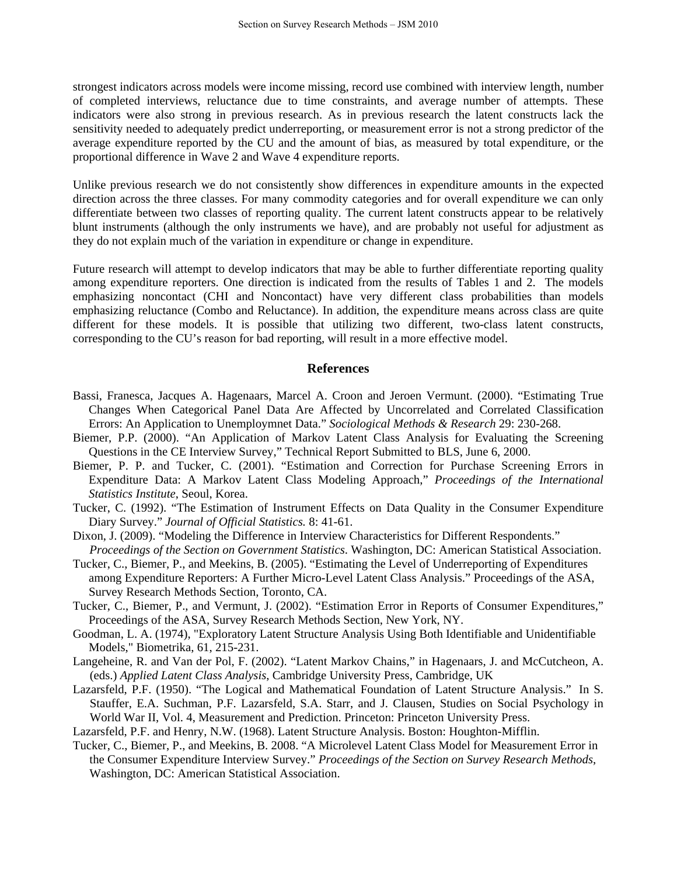strongest indicators across models were income missing, record use combined with interview length, number of completed interviews, reluctance due to time constraints, and average number of attempts. These indicators were also strong in previous research. As in previous research the latent constructs lack the sensitivity needed to adequately predict underreporting, or measurement error is not a strong predictor of the average expenditure reported by the CU and the amount of bias, as measured by total expenditure, or the proportional difference in Wave 2 and Wave 4 expenditure reports.

Unlike previous research we do not consistently show differences in expenditure amounts in the expected direction across the three classes. For many commodity categories and for overall expenditure we can only differentiate between two classes of reporting quality. The current latent constructs appear to be relatively blunt instruments (although the only instruments we have), and are probably not useful for adjustment as they do not explain much of the variation in expenditure or change in expenditure.

Future research will attempt to develop indicators that may be able to further differentiate reporting quality among expenditure reporters. One direction is indicated from the results of Tables 1 and 2. The models emphasizing noncontact (CHI and Noncontact) have very different class probabilities than models emphasizing reluctance (Combo and Reluctance). In addition, the expenditure means across class are quite different for these models. It is possible that utilizing two different, two-class latent constructs, corresponding to the CU's reason for bad reporting, will result in a more effective model.

#### **References**

- Bassi, Franesca, Jacques A. Hagenaars, Marcel A. Croon and Jeroen Vermunt. (2000). "Estimating True Changes When Categorical Panel Data Are Affected by Uncorrelated and Correlated Classification Errors: An Application to Unemploymnet Data." *Sociological Methods & Research* 29: 230-268.
- Biemer, P.P. (2000). "An Application of Markov Latent Class Analysis for Evaluating the Screening Questions in the CE Interview Survey," Technical Report Submitted to BLS, June 6, 2000.
- Biemer, P. P. and Tucker, C. (2001). "Estimation and Correction for Purchase Screening Errors in Expenditure Data: A Markov Latent Class Modeling Approach," *Proceedings of the International Statistics Institute*, Seoul, Korea.
- Tucker, C. (1992). "The Estimation of Instrument Effects on Data Quality in the Consumer Expenditure Diary Survey." *Journal of Official Statistics.* 8: 41-61.
- Dixon, J. (2009). "Modeling the Difference in Interview Characteristics for Different Respondents." *Proceedings of the Section on Government Statistics*. Washington, DC: American Statistical Association.
- Tucker, C., Biemer, P., and Meekins, B. (2005). "Estimating the Level of Underreporting of Expenditures among Expenditure Reporters: A Further Micro-Level Latent Class Analysis." Proceedings of the ASA, Survey Research Methods Section, Toronto, CA.
- Tucker, C., Biemer, P., and Vermunt, J. (2002). "Estimation Error in Reports of Consumer Expenditures," Proceedings of the ASA, Survey Research Methods Section, New York, NY.
- Goodman, L. A. (1974), "Exploratory Latent Structure Analysis Using Both Identifiable and Unidentifiable Models," Biometrika, 61, 215-231.
- Langeheine, R. and Van der Pol, F. (2002). "Latent Markov Chains," in Hagenaars, J. and McCutcheon, A. (eds.) *Applied Latent Class Analysis*, Cambridge University Press, Cambridge, UK
- Lazarsfeld, P.F. (1950). "The Logical and Mathematical Foundation of Latent Structure Analysis." In S. Stauffer, E.A. Suchman, P.F. Lazarsfeld, S.A. Starr, and J. Clausen, Studies on Social Psychology in World War II, Vol. 4, Measurement and Prediction. Princeton: Princeton University Press.
- Lazarsfeld, P.F. and Henry, N.W. (1968). Latent Structure Analysis. Boston: Houghton-Mifflin.
- Tucker, C., Biemer, P., and Meekins, B. 2008. "A Microlevel Latent Class Model for Measurement Error in the Consumer Expenditure Interview Survey." *Proceedings of the Section on Survey Research Methods*, Washington, DC: American Statistical Association.